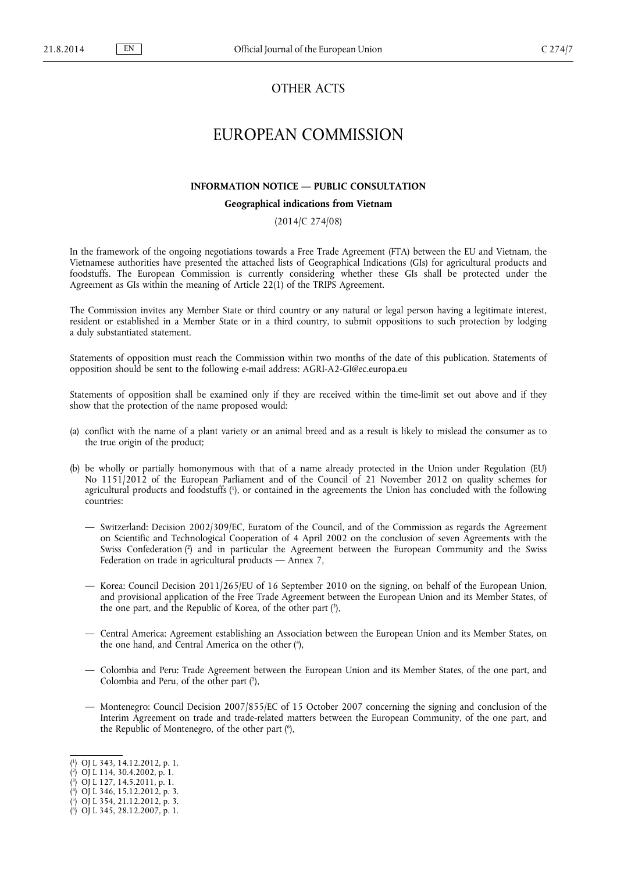# OTHER ACTS

# EUROPEAN COMMISSION

### **INFORMATION NOTICE — PUBLIC CONSULTATION**

#### **Geographical indications from Vietnam**

## (2014/C 274/08)

In the framework of the ongoing negotiations towards a Free Trade Agreement (FTA) between the EU and Vietnam, the Vietnamese authorities have presented the attached lists of Geographical Indications (GIs) for agricultural products and foodstuffs. The European Commission is currently considering whether these GIs shall be protected under the Agreement as GIs within the meaning of Article 22(1) of the TRIPS Agreement.

The Commission invites any Member State or third country or any natural or legal person having a legitimate interest, resident or established in a Member State or in a third country, to submit oppositions to such protection by lodging a duly substantiated statement.

Statements of opposition must reach the Commission within two months of the date of this publication. Statements of opposition should be sent to the following e-mail address: [AGRI-A2-GI@ec.europa.eu](mailto:AGRI-A2-GI@ec.europa.eu)

Statements of opposition shall be examined only if they are received within the time-limit set out above and if they show that the protection of the name proposed would:

- (a) conflict with the name of a plant variety or an animal breed and as a result is likely to mislead the consumer as to the true origin of the product;
- (b) be wholly or partially homonymous with that of a name already protected in the Union under Regulation (EU) No 1151/2012 of the European Parliament and of the Council of 21 November 2012 on quality schemes for agricultural products and foodstuffs ( 1 ), or contained in the agreements the Union has concluded with the following countries:
	- Switzerland: Decision 2002/309/EC, Euratom of the Council, and of the Commission as regards the Agreement on Scientific and Technological Cooperation of 4 April 2002 on the conclusion of seven Agreements with the Swiss Confederation (<sup>2</sup>) and in particular the Agreement between the European Community and the Swiss Federation on trade in agricultural products — Annex 7,
	- Korea: Council Decision 2011/265/EU of 16 September 2010 on the signing, on behalf of the European Union, and provisional application of the Free Trade Agreement between the European Union and its Member States, of the one part, and the Republic of Korea, of the other part ( 3 ),
	- Central America: Agreement establishing an Association between the European Union and its Member States, on the one hand, and Central America on the other ( 4 ),
	- Colombia and Peru: Trade Agreement between the European Union and its Member States, of the one part, and Colombia and Peru, of the other part  $(5)$ ,
	- Montenegro: Council Decision 2007/855/EC of 15 October 2007 concerning the signing and conclusion of the Interim Agreement on trade and trade-related matters between the European Community, of the one part, and the Republic of Montenegro, of the other part ( 6 ),

<sup>(</sup> 1 ) OJ L 343, 14.12.2012, p. 1.

<sup>(</sup> 2 ) OJ L 114, 30.4.2002, p. 1.

<sup>(</sup> 3 ) OJ L 127, 14.5.2011, p. 1.

<sup>(</sup> 4 ) OJ L 346, 15.12.2012, p. 3.

<sup>(</sup> 5 ) OJ L 354, 21.12.2012, p. 3.

<sup>(</sup> 6 ) OJ L 345, 28.12.2007, p. 1.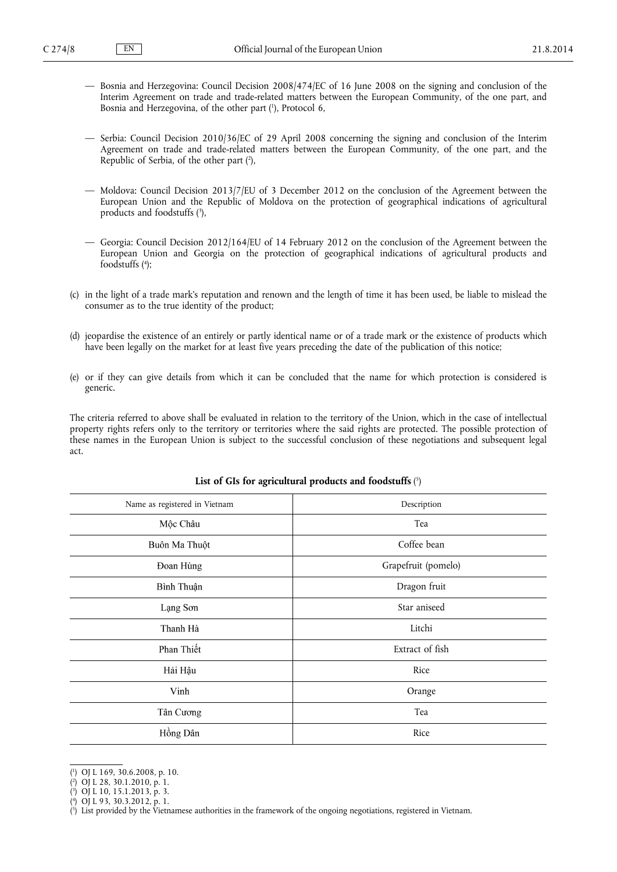- Bosnia and Herzegovina: Council Decision 2008/474/EC of 16 June 2008 on the signing and conclusion of the Interim Agreement on trade and trade-related matters between the European Community, of the one part, and Bosnia and Herzegovina, of the other part ( 1 ), Protocol 6,
- Serbia: Council Decision 2010/36/EC of 29 April 2008 concerning the signing and conclusion of the Interim Agreement on trade and trade-related matters between the European Community, of the one part, and the Republic of Serbia, of the other part ( 2 ),
- Moldova: Council Decision 2013/7/EU of 3 December 2012 on the conclusion of the Agreement between the European Union and the Republic of Moldova on the protection of geographical indications of agricultural products and foodstuffs ( 3 ),
- Georgia: Council Decision 2012/164/EU of 14 February 2012 on the conclusion of the Agreement between the European Union and Georgia on the protection of geographical indications of agricultural products and foodstuffs ( 4 );
- (c) in the light of a trade mark's reputation and renown and the length of time it has been used, be liable to mislead the consumer as to the true identity of the product;
- (d) jeopardise the existence of an entirely or partly identical name or of a trade mark or the existence of products which have been legally on the market for at least five years preceding the date of the publication of this notice;
- (e) or if they can give details from which it can be concluded that the name for which protection is considered is generic.

The criteria referred to above shall be evaluated in relation to the territory of the Union, which in the case of intellectual property rights refers only to the territory or territories where the said rights are protected. The possible protection of these names in the European Union is subject to the successful conclusion of these negotiations and subsequent legal act.

| Name as registered in Vietnam | Description         |
|-------------------------------|---------------------|
| Mộc Châu                      | Tea                 |
| Buôn Ma Thuột                 | Coffee bean         |
| Đoan Hùng                     | Grapefruit (pomelo) |
| Bình Thuận                    | Dragon fruit        |
| Lạng Sơn                      | Star aniseed        |
| Thanh Hà                      | Litchi              |
| Phan Thiết                    | Extract of fish     |
| Hải Hậu                       | Rice                |
| Vinh                          | Orange              |
| Tân Cương                     | Tea                 |
| Hồng Dân                      | Rice                |

#### **List of GIs for agricultural products and foodstuffs** ( 5 )

<sup>(</sup> 1 ) OJ L 169, 30.6.2008, p. 10.

<sup>(</sup> 2 ) OJ L 28, 30.1.2010, p. 1.

<sup>(</sup> 3 ) OJ L 10, 15.1.2013, p. 3.

<sup>(</sup> 4 ) OJ L 93, 30.3.2012, p. 1.

<sup>(</sup> 5 ) List provided by the Vietnamese authorities in the framework of the ongoing negotiations, registered in Vietnam.